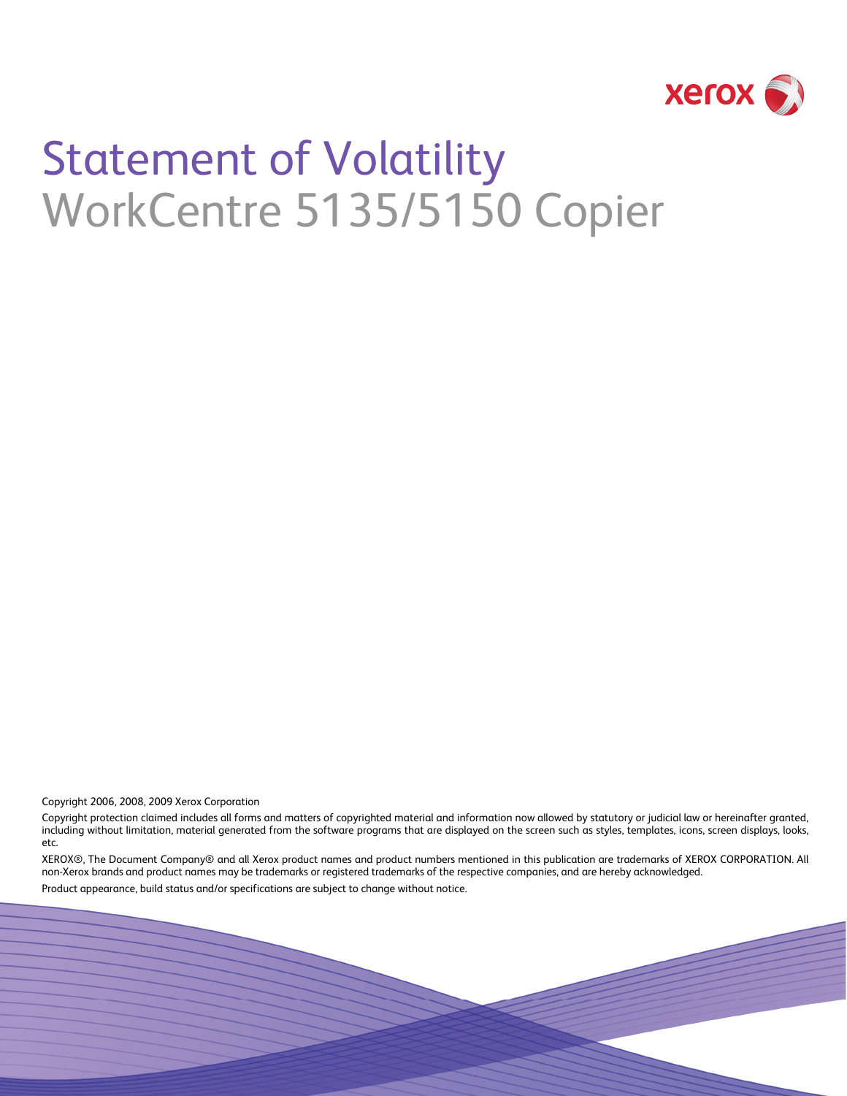

# Statement of Volatility WorkCentre 5135/5150 Copier

Copyright 2006, 2008, 2009 Xerox Corporation

Copyright protection claimed includes all forms and matters of copyrighted material and information now allowed by statutory or judicial law or hereinafter granted, including without limitation, material generated from the software programs that are displayed on the screen such as styles, templates, icons, screen displays, looks, etc.

XEROX®, The Document Company® and all Xerox product names and product numbers mentioned in this publication are trademarks of XEROX CORPORATION. All non-Xerox brands and product names may be trademarks or registered trademarks of the respective companies, and are hereby acknowledged.

Product appearance, build status and/or specifications are subject to change without notice.

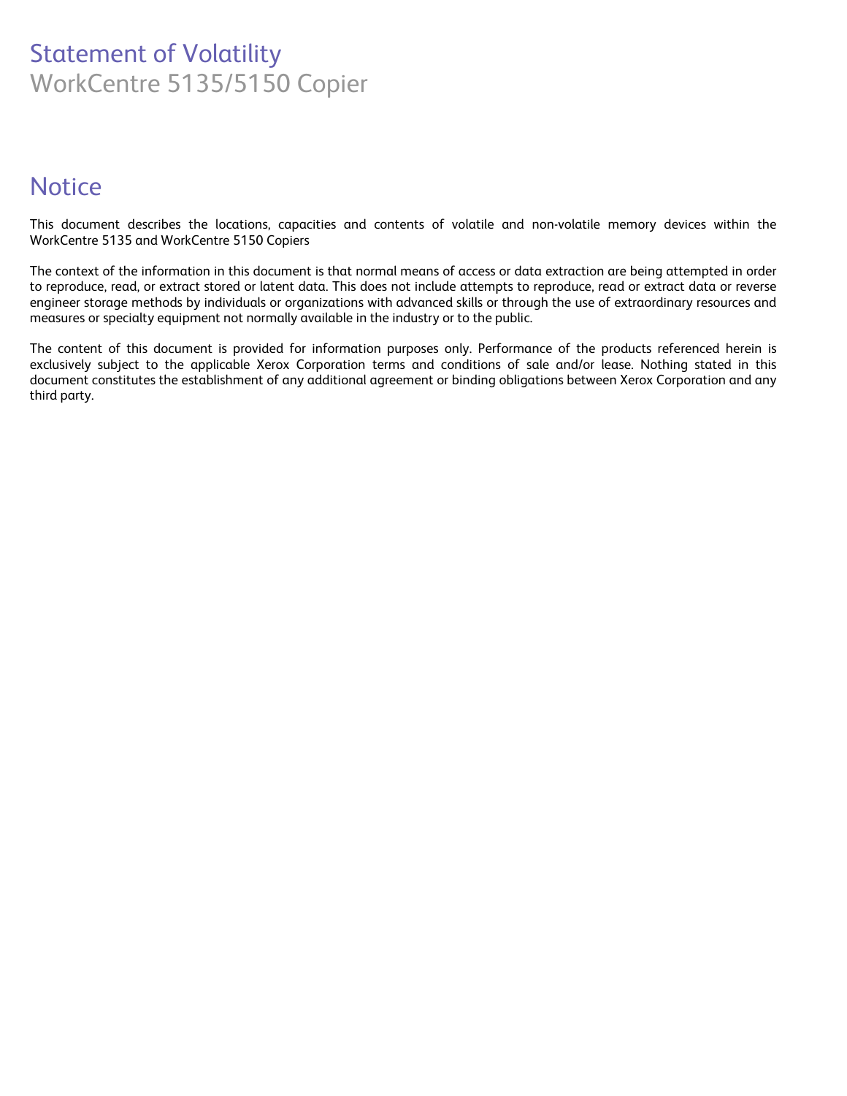## Statement of Volatility WorkCentre 5135/5150 Copier

## **Notice**

This document describes the locations, capacities and contents of volatile and non-volatile memory devices within the WorkCentre 5135 and WorkCentre 5150 Copiers

The context of the information in this document is that normal means of access or data extraction are being attempted in order to reproduce, read, or extract stored or latent data. This does not include attempts to reproduce, read or extract data or reverse engineer storage methods by individuals or organizations with advanced skills or through the use of extraordinary resources and measures or specialty equipment not normally available in the industry or to the public.

The content of this document is provided for information purposes only. Performance of the products referenced herein is exclusively subject to the applicable Xerox Corporation terms and conditions of sale and/or lease. Nothing stated in this document constitutes the establishment of any additional agreement or binding obligations between Xerox Corporation and any third party.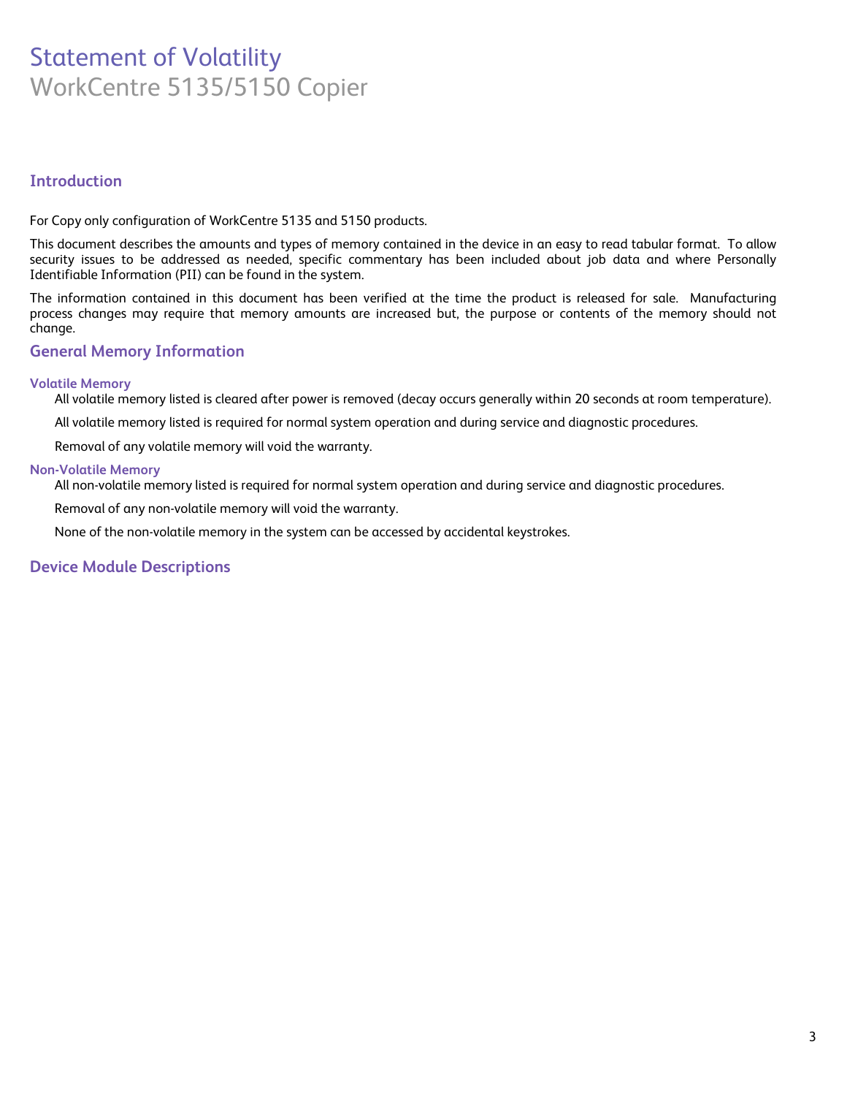## Statement of Volatility WorkCentre 5135/5150 Copier

#### **Introduction**

For Copy only configuration of WorkCentre 5135 and 5150 products.

This document describes the amounts and types of memory contained in the device in an easy to read tabular format. To allow security issues to be addressed as needed, specific commentary has been included about job data and where Personally Identifiable Information (PII) can be found in the system.

The information contained in this document has been verified at the time the product is released for sale. Manufacturing process changes may require that memory amounts are increased but, the purpose or contents of the memory should not change.

#### **General Memory Information**

#### **Volatile Memory**

All volatile memory listed is cleared after power is removed (decay occurs generally within 20 seconds at room temperature).

All volatile memory listed is required for normal system operation and during service and diagnostic procedures.

Removal of any volatile memory will void the warranty.

#### **Non-Volatile Memory**

All non-volatile memory listed is required for normal system operation and during service and diagnostic procedures.

Removal of any non-volatile memory will void the warranty.

None of the non-volatile memory in the system can be accessed by accidental keystrokes.

#### **Device Module Descriptions**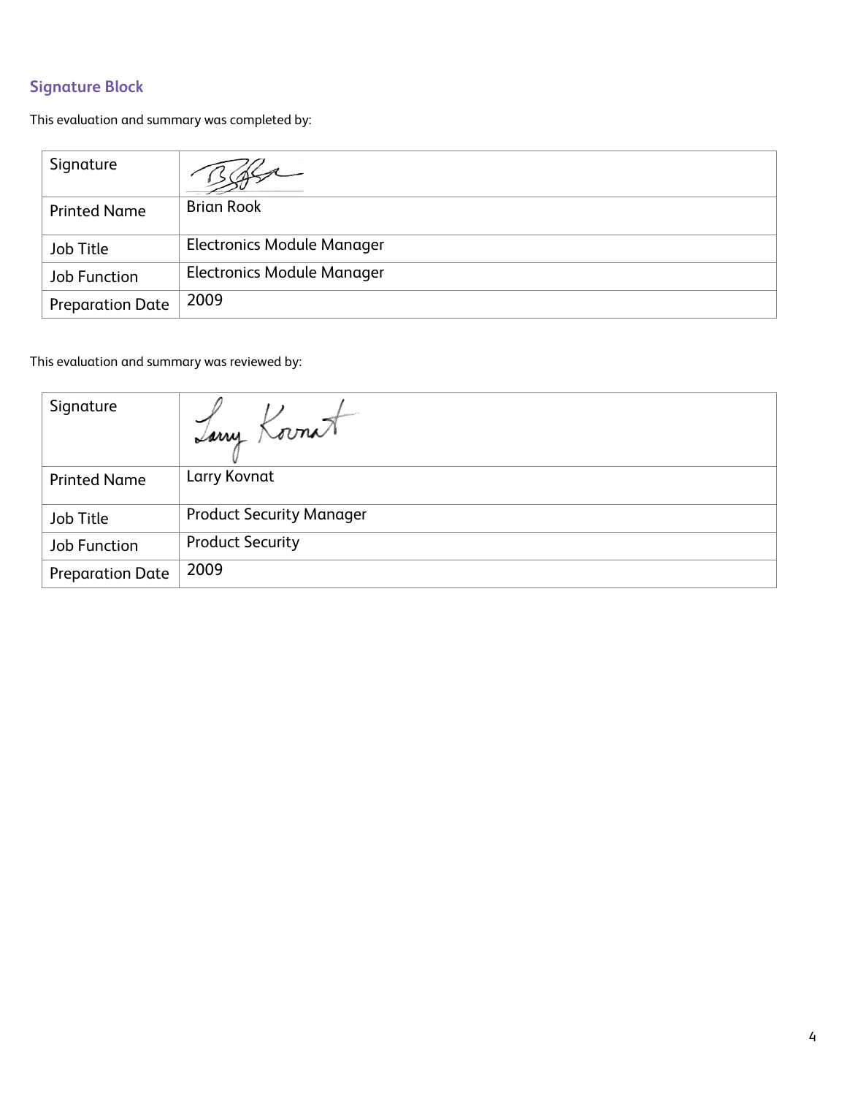### **Signature Block**

This evaluation and summary was completed by:

| Signature               |                                   |
|-------------------------|-----------------------------------|
| <b>Printed Name</b>     | <b>Brian Rook</b>                 |
| Job Title               | <b>Electronics Module Manager</b> |
| Job Function            | <b>Electronics Module Manager</b> |
| <b>Preparation Date</b> | 2009                              |

This evaluation and summary was reviewed by:

| Signature               | Tany Kornat                     |
|-------------------------|---------------------------------|
| <b>Printed Name</b>     | Larry Kovnat                    |
| Job Title               | <b>Product Security Manager</b> |
| Job Function            | <b>Product Security</b>         |
| <b>Preparation Date</b> | 2009                            |